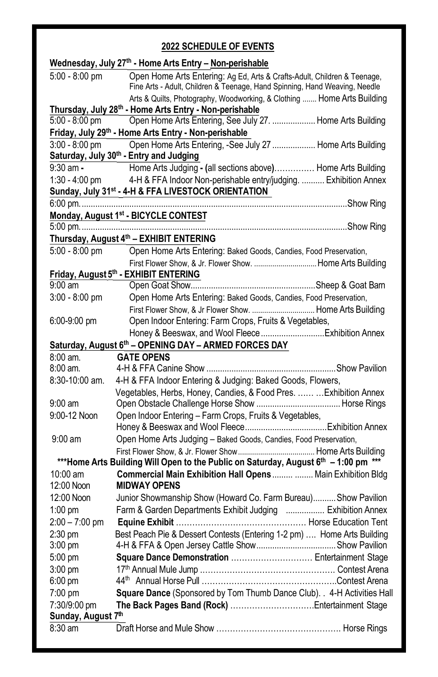# **2022 SCHEDULE OF EVENTS**

|                                    | Wednesday, July 27th - Home Arts Entry - Non-perishable                                                                                                |
|------------------------------------|--------------------------------------------------------------------------------------------------------------------------------------------------------|
| 5:00 - 8:00 pm                     | Open Home Arts Entering: Ag Ed, Arts & Crafts-Adult, Children & Teenage,<br>Fine Arts - Adult, Children & Teenage, Hand Spinning, Hand Weaving, Needle |
|                                    | Arts & Quilts, Photography, Woodworking, & Clothing  Home Arts Building                                                                                |
|                                    | Thursday, July 28th - Home Arts Entry - Non-perishable                                                                                                 |
| 5:00 - 8:00 pm                     | Open Home Arts Entering, See July 27.  Home Arts Building                                                                                              |
|                                    | Friday, July 29 <sup>th</sup> - Home Arts Entry - Non-perishable                                                                                       |
| $3:00 - 8:00$ pm                   | Open Home Arts Entering, -See July 27  Home Arts Building<br>Saturday, July 30th - Entry and Judging                                                   |
| $9:30$ am $-$                      | Home Arts Judging - (all sections above) Home Arts Building                                                                                            |
| 1:30 - 4:00 pm                     | 4-H & FFA Indoor Non-perishable entry/judging.  Exhibition Annex<br>Sunday, July 31 <sup>st</sup> - 4-H & FFA LIVESTOCK ORIENTATION                    |
|                                    |                                                                                                                                                        |
|                                    | Monday, August 1st - BICYCLE CONTEST                                                                                                                   |
|                                    |                                                                                                                                                        |
|                                    | Thursday, August 4th - EXHIBIT ENTERING                                                                                                                |
| 5:00 - 8:00 pm                     | Open Home Arts Entering: Baked Goods, Candies, Food Preservation,                                                                                      |
|                                    | First Flower Show, & Jr. Flower Show. Home Arts Building                                                                                               |
|                                    | Friday, August 5th - EXHIBIT ENTERING                                                                                                                  |
| 9:00 am                            |                                                                                                                                                        |
| $3:00 - 8:00$ pm                   | Open Home Arts Entering: Baked Goods, Candies, Food Preservation,                                                                                      |
|                                    | First Flower Show, & Jr Flower Show.  Home Arts Building                                                                                               |
| $6:00-9:00$ pm                     | Open Indoor Entering: Farm Crops, Fruits & Vegetables,                                                                                                 |
|                                    |                                                                                                                                                        |
|                                    | Saturday, August 6th - OPENING DAY - ARMED FORCES DAY                                                                                                  |
| 8:00 am.                           | <b>GATE OPENS</b>                                                                                                                                      |
| $8:00 \text{ am}.$                 |                                                                                                                                                        |
| $8:30-10:00$ am.                   | 4-H & FFA Indoor Entering & Judging: Baked Goods, Flowers,                                                                                             |
|                                    | Vegetables, Herbs, Honey, Candies, & Food Pres.   Exhibition Annex                                                                                     |
| $9:00 \text{ am}$                  |                                                                                                                                                        |
| 9:00-12 Noon                       | Open Indoor Entering - Farm Crops, Fruits & Vegetables,                                                                                                |
| $9:00$ am                          | Open Home Arts Judging - Baked Goods, Candies, Food Preservation,                                                                                      |
|                                    |                                                                                                                                                        |
|                                    | *** Home Arts Building Will Open to the Public on Saturday, August 6th - 1:00 pm ***                                                                   |
| $10:00$ am                         | Commercial Main Exhibition Hall Opens   Main Exhibition Bldg                                                                                           |
| 12:00 Noon                         | <b>MIDWAY OPENS</b>                                                                                                                                    |
| 12:00 Noon                         | Junior Showmanship Show (Howard Co. Farm Bureau) Show Pavilion                                                                                         |
| $1:00 \text{ pm}$                  | Farm & Garden Departments Exhibit Judging  Exhibition Annex                                                                                            |
| $2:00 - 7:00$ pm                   |                                                                                                                                                        |
| 2:30 pm                            | Best Peach Pie & Dessert Contests (Entering 1-2 pm)  Home Arts Building                                                                                |
| $3:00 \text{ pm}$                  |                                                                                                                                                        |
| 5:00 pm                            | Square Dance Demonstration  Entertainment Stage                                                                                                        |
| $3:00 \text{ pm}$                  |                                                                                                                                                        |
| $6:00 \text{ pm}$                  |                                                                                                                                                        |
| 7:00 pm                            | Square Dance (Sponsored by Tom Thumb Dance Club). . 4-H Activities Hall                                                                                |
| 7:30/9:00 pm<br>Sunday, August 7th |                                                                                                                                                        |
| $8:30$ am                          |                                                                                                                                                        |
|                                    |                                                                                                                                                        |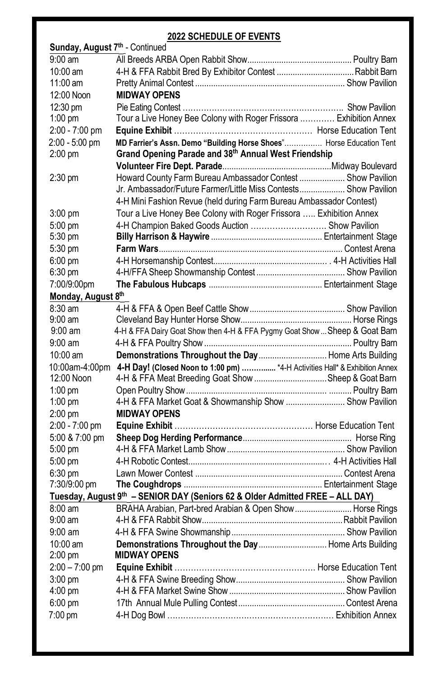## **2022 SCHEDULE OF EVENTS**

| Sunday, August 7th - Continued |                                                                                            |  |  |  |
|--------------------------------|--------------------------------------------------------------------------------------------|--|--|--|
| $9:00$ am                      |                                                                                            |  |  |  |
| $10:00$ am                     |                                                                                            |  |  |  |
| $11:00$ am                     |                                                                                            |  |  |  |
| 12:00 Noon                     | <b>MIDWAY OPENS</b>                                                                        |  |  |  |
| 12:30 pm                       |                                                                                            |  |  |  |
| $1:00$ pm                      | Tour a Live Honey Bee Colony with Roger Frissora  Exhibition Annex                         |  |  |  |
| 2:00 - 7:00 pm                 |                                                                                            |  |  |  |
| 2:00 - 5:00 pm                 | MD Farrier's Assn. Demo "Building Horse Shoes" Horse Education Tent                        |  |  |  |
| $2:00$ pm                      | Grand Opening Parade and 38th Annual West Friendship                                       |  |  |  |
|                                |                                                                                            |  |  |  |
| $2:30$ pm                      | Howard County Farm Bureau Ambassador Contest  Show Pavilion                                |  |  |  |
|                                | Jr. Ambassador/Future Farmer/Little Miss Contests Show Pavilion                            |  |  |  |
|                                | 4-H Mini Fashion Revue (held during Farm Bureau Ambassador Contest)                        |  |  |  |
| $3:00 \text{ pm}$              | Tour a Live Honey Bee Colony with Roger Frissora  Exhibition Annex                         |  |  |  |
| $5:00$ pm                      | 4-H Champion Baked Goods Auction  Show Pavilion                                            |  |  |  |
| 5:30 pm                        |                                                                                            |  |  |  |
| 5:30 pm                        |                                                                                            |  |  |  |
| $6:00$ pm                      |                                                                                            |  |  |  |
| $6:30$ pm                      |                                                                                            |  |  |  |
| 7:00/9:00pm                    |                                                                                            |  |  |  |
| Monday, August 8th             |                                                                                            |  |  |  |
| $8:30$ am                      |                                                                                            |  |  |  |
| $9:00 \text{ am}$              |                                                                                            |  |  |  |
| $9:00 \text{ am}$              | 4-H & FFA Dairy Goat Show then 4-H & FFA Pygmy Goat Show  Sheep & Goat Barn                |  |  |  |
| $9:00 \text{ am}$              |                                                                                            |  |  |  |
| $10:00$ am                     | Demonstrations Throughout the Day  Home Arts Building                                      |  |  |  |
|                                | 10:00am-4:00pm 4-H Day! (Closed Noon to 1:00 pm)  *4-H Activities Hall* & Exhibition Annex |  |  |  |
| 12:00 Noon                     | 4-H & FFA Meat Breeding Goat Show Sheep & Goat Barn                                        |  |  |  |
| $1:00$ pm                      |                                                                                            |  |  |  |
| $1:00$ pm                      | 4-H & FFA Market Goat & Showmanship Show  Show Pavilion                                    |  |  |  |
| $2:00$ pm                      | <b>MIDWAY OPENS</b>                                                                        |  |  |  |
| 2:00 - 7:00 pm                 |                                                                                            |  |  |  |
| 5:00 & 7:00 pm                 |                                                                                            |  |  |  |
| 5:00 pm                        |                                                                                            |  |  |  |
| $5:00$ pm                      |                                                                                            |  |  |  |
| $6:30$ pm                      |                                                                                            |  |  |  |
| 7:30/9:00 pm                   |                                                                                            |  |  |  |
|                                | Tuesday, August 9th - SENIOR DAY (Seniors 62 & Older Admitted FREE - ALL DAY)              |  |  |  |
| $8:00 \text{ am}$              | BRAHA Arabian, Part-bred Arabian & Open Show  Horse Rings                                  |  |  |  |
| $9:00 \text{ am}$              |                                                                                            |  |  |  |
| $9:00$ am                      |                                                                                            |  |  |  |
| 10:00 am                       | Demonstrations Throughout the Day  Home Arts Building                                      |  |  |  |
| $2:00$ pm                      | <b>MIDWAY OPENS</b>                                                                        |  |  |  |
| $2:00 - 7:00$ pm               |                                                                                            |  |  |  |
| $3:00$ pm                      |                                                                                            |  |  |  |
| $4:00$ pm                      |                                                                                            |  |  |  |
| $6:00 \text{ pm}$              |                                                                                            |  |  |  |
| 7:00 pm                        |                                                                                            |  |  |  |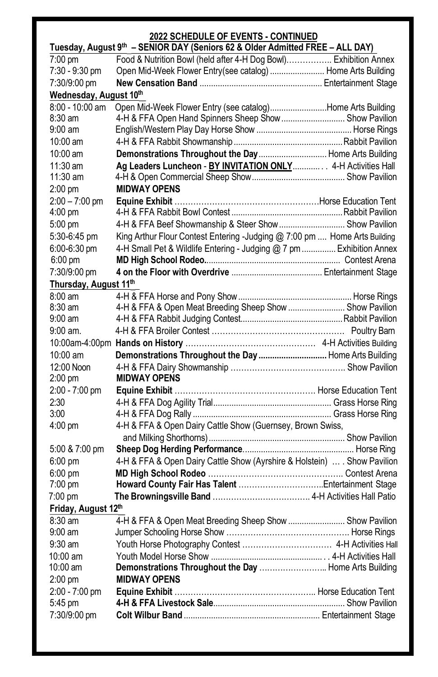# **2022 SCHEDULE OF EVENTS - CONTINUED**

| Tuesday, August 9th - SENIOR DAY (Seniors 62 & Older Admitted FREE - ALL DAY) |                                                                           |  |  |  |
|-------------------------------------------------------------------------------|---------------------------------------------------------------------------|--|--|--|
| 7:00 pm                                                                       | Food & Nutrition Bowl (held after 4-H Dog Bowl) Exhibition Annex          |  |  |  |
| 7:30 - 9:30 pm                                                                | Open Mid-Week Flower Entry(see catalog)  Home Arts Building               |  |  |  |
| 7:30/9:00 pm                                                                  |                                                                           |  |  |  |
| Wednesday, August 10th                                                        |                                                                           |  |  |  |
| 8:00 - 10:00 am                                                               | Open Mid-Week Flower Entry (see catalog)Home Arts Building                |  |  |  |
| $8:30$ am                                                                     | 4-H & FFA Open Hand Spinners Sheep Show  Show Pavilion                    |  |  |  |
| $9:00 \text{ am}$                                                             |                                                                           |  |  |  |
| 10:00 am                                                                      |                                                                           |  |  |  |
| 10:00 am                                                                      | Demonstrations Throughout the Day  Home Arts Building                     |  |  |  |
| $11:30$ am                                                                    | Ag Leaders Luncheon - BY INVITATION ONLY 4-H Activities Hall              |  |  |  |
| $11:30$ am                                                                    |                                                                           |  |  |  |
| $2:00$ pm                                                                     | <b>MIDWAY OPENS</b>                                                       |  |  |  |
| $2:00 - 7:00$ pm                                                              |                                                                           |  |  |  |
| $4:00 \text{ pm}$                                                             |                                                                           |  |  |  |
| 5:00 pm                                                                       | 4-H & FFA Beef Showmanship & Steer Show  Show Pavilion                    |  |  |  |
| 5:30-6:45 pm                                                                  | King Arthur Flour Contest Entering -Judging @ 7:00 pm  Home Arts Building |  |  |  |
| 6:00-6:30 pm                                                                  | 4-H Small Pet & Wildlife Entering - Judging @ 7 pm  Exhibition Annex      |  |  |  |
| 6:00 pm                                                                       |                                                                           |  |  |  |
| 7:30/9:00 pm                                                                  |                                                                           |  |  |  |
| Thursday, August 11th                                                         |                                                                           |  |  |  |
| $8:00 \text{ am}$                                                             |                                                                           |  |  |  |
| $8:30$ am                                                                     | 4-H & FFA & Open Meat Breeding Sheep Show  Show Pavilion                  |  |  |  |
| $9:00$ am                                                                     |                                                                           |  |  |  |
| $9:00$ am.                                                                    |                                                                           |  |  |  |
|                                                                               |                                                                           |  |  |  |
| $10:00$ am                                                                    | Demonstrations Throughout the Day  Home Arts Building                     |  |  |  |
| 12:00 Noon                                                                    |                                                                           |  |  |  |
| $2:00$ pm                                                                     | <b>MIDWAY OPENS</b>                                                       |  |  |  |
| 2:00 - 7:00 pm                                                                |                                                                           |  |  |  |
| 2:30                                                                          |                                                                           |  |  |  |
| 3:00                                                                          |                                                                           |  |  |  |
| $4:00 \text{ pm}$                                                             | 4-H & FFA & Open Dairy Cattle Show (Guernsey, Brown Swiss,                |  |  |  |
|                                                                               |                                                                           |  |  |  |
| 5:00 & 7:00 pm                                                                |                                                                           |  |  |  |
| $6:00$ pm                                                                     | 4-H & FFA & Open Dairy Cattle Show (Ayrshire & Holstein)  . Show Pavilion |  |  |  |
| $6:00$ pm                                                                     |                                                                           |  |  |  |
| $7:00 \text{ pm}$                                                             |                                                                           |  |  |  |
| $7:00$ pm                                                                     |                                                                           |  |  |  |
| Friday, August 12th                                                           |                                                                           |  |  |  |
| 8:30 am                                                                       | 4-H & FFA & Open Meat Breeding Sheep Show  Show Pavilion                  |  |  |  |
| 9:00 am                                                                       |                                                                           |  |  |  |
| $9:30$ am                                                                     |                                                                           |  |  |  |
| 10:00 am                                                                      |                                                                           |  |  |  |
| 10:00 am                                                                      | Demonstrations Throughout the Day  Home Arts Building                     |  |  |  |
| $2:00$ pm                                                                     | <b>MIDWAY OPENS</b>                                                       |  |  |  |
| 2:00 - 7:00 pm                                                                |                                                                           |  |  |  |
| 5:45 pm                                                                       |                                                                           |  |  |  |
| 7:30/9:00 pm                                                                  |                                                                           |  |  |  |